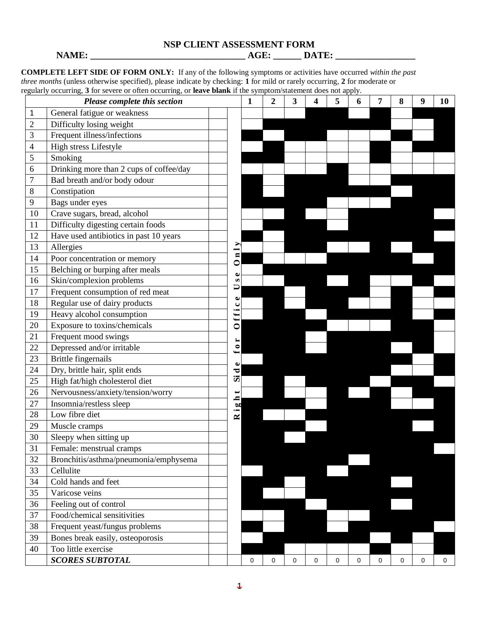# **NSP CLIENT ASSESSMENT FORM**

**NAME: \_\_\_\_\_\_\_\_\_\_\_\_\_\_\_\_\_\_\_\_\_\_\_\_\_\_\_\_\_\_\_\_\_ AGE: \_\_\_\_\_\_ DATE: \_\_\_\_\_\_\_\_\_\_\_\_\_\_\_\_\_** 

**COMPLETE LEFT SIDE OF FORM ONLY:** If any of the following symptoms or activities have occurred *within the past three months* (unless otherwise specified), please indicate by checking: **1** for mild or rarely occurring, **2** for moderate or regularly occurring, **3** for severe or often occurring, or **leave blank** if the symptom/statement does not apply.

|                | Please complete this section            |                                                                   | 1 | 2 | 3 | 4 | 5 | 6 | 7 | 8 | 9 | 10 |
|----------------|-----------------------------------------|-------------------------------------------------------------------|---|---|---|---|---|---|---|---|---|----|
| 1              | General fatigue or weakness             |                                                                   |   |   |   |   |   |   |   |   |   |    |
| $\overline{2}$ | Difficulty losing weight                |                                                                   |   |   |   |   |   |   |   |   |   |    |
| 3              | Frequent illness/infections             |                                                                   |   |   |   |   |   |   |   |   |   |    |
| 4              | High stress Lifestyle                   |                                                                   |   |   |   |   |   |   |   |   |   |    |
| 5              | Smoking                                 |                                                                   |   |   |   |   |   |   |   |   |   |    |
| 6              | Drinking more than 2 cups of coffee/day |                                                                   |   |   |   |   |   |   |   |   |   |    |
| 7              | Bad breath and/or body odour            |                                                                   |   |   |   |   |   |   |   |   |   |    |
| 8              | Constipation                            |                                                                   |   |   |   |   |   |   |   |   |   |    |
| 9              | Bags under eyes                         |                                                                   |   |   |   |   |   |   |   |   |   |    |
| 10             | Crave sugars, bread, alcohol            |                                                                   |   |   |   |   |   |   |   |   |   |    |
| 11             | Difficulty digesting certain foods      |                                                                   |   |   |   |   |   |   |   |   |   |    |
| 12             | Have used antibiotics in past 10 years  |                                                                   |   |   |   |   |   |   |   |   |   |    |
| 13             | Allergies                               | -                                                                 |   |   |   |   |   |   |   |   |   |    |
| 14             | Poor concentration or memory            | $\blacksquare$<br>$\bullet$                                       |   |   |   |   |   |   |   |   |   |    |
| 15             | Belching or burping after meals         | Φ                                                                 |   |   |   |   |   |   |   |   |   |    |
| 16             | Skin/complexion problems                | $\boldsymbol{\omega}$                                             |   |   |   |   |   |   |   |   |   |    |
| 17             | Frequent consumption of red meat        | □                                                                 |   |   |   |   |   |   |   |   |   |    |
| 18             | Regular use of dairy products           | Φ<br>ں                                                            |   |   |   |   |   |   |   |   |   |    |
| 19             | Heavy alcohol consumption               | $\bullet$<br>$\overline{\phantom{a}}$<br>$\overline{\phantom{a}}$ |   |   |   |   |   |   |   |   |   |    |
| 20             | Exposure to toxins/chemicals            | $\circ$                                                           |   |   |   |   |   |   |   |   |   |    |
| 21             | Frequent mood swings                    | ∼                                                                 |   |   |   |   |   |   |   |   |   |    |
| 22             | Depressed and/or irritable              | $\bullet$<br>↤                                                    |   |   |   |   |   |   |   |   |   |    |
| 23             | <b>Brittle fingernails</b>              | Φ                                                                 |   |   |   |   |   |   |   |   |   |    |
| 24             | Dry, brittle hair, split ends           | ರ                                                                 |   |   |   |   |   |   |   |   |   |    |
| 25             | High fat/high cholesterol diet          | <b>Si</b>                                                         |   |   |   |   |   |   |   |   |   |    |
| 26             | Nervousness/anxiety/tension/worry       | $\blacksquare$                                                    |   |   |   |   |   |   |   |   |   |    |
| 27             | Insomnia/restless sleep                 | <b>bu</b>                                                         |   |   |   |   |   |   |   |   |   |    |
| 28             | Low fibre diet                          | $\overline{\phantom{0}}$<br>$\approx$                             |   |   |   |   |   |   |   |   |   |    |
| 29             | Muscle cramps                           |                                                                   |   |   |   |   |   |   |   |   |   |    |
| 30             | Sleepy when sitting up                  |                                                                   |   |   |   |   |   |   |   |   |   |    |
| 31             | Female: menstrual cramps                |                                                                   |   |   |   |   |   |   |   |   |   |    |
| 32             | Bronchitis/asthma/pneumonia/emphysema   |                                                                   |   |   |   |   |   |   |   |   |   |    |
| 33             | Cellulite                               |                                                                   |   |   |   |   |   |   |   |   |   |    |
| 34             | Cold hands and feet                     |                                                                   |   |   |   |   |   |   |   |   |   |    |
| 35             | Varicose veins                          |                                                                   |   |   |   |   |   |   |   |   |   |    |
| 36             | Feeling out of control                  |                                                                   |   |   |   |   |   |   |   |   |   |    |
| 37             | Food/chemical sensitivities             |                                                                   |   |   |   |   |   |   |   |   |   |    |
| 38             | Frequent yeast/fungus problems          |                                                                   |   |   |   |   |   |   |   |   |   |    |
| 39             | Bones break easily, osteoporosis        |                                                                   |   |   |   |   |   |   |   |   |   |    |
| 40             | Too little exercise                     |                                                                   |   |   |   |   |   |   |   |   |   |    |
|                | <b>SCORES SUBTOTAL</b>                  |                                                                   | 0 | 0 | 0 | 0 | 0 | 0 | 0 | 0 | 0 | 0  |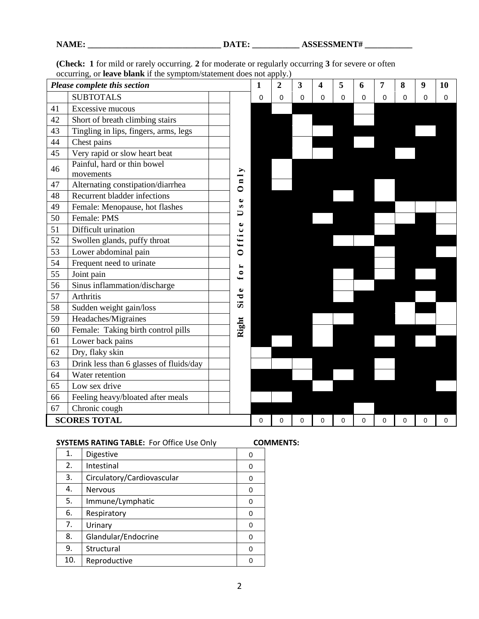|    | Please complete this section             |           |                                       | $\mathbf{1}$ | $\overline{2}$ | 3 | $\overline{\mathbf{4}}$ | 5 | 6 | 7        | 8        | 9        | 10          |
|----|------------------------------------------|-----------|---------------------------------------|--------------|----------------|---|-------------------------|---|---|----------|----------|----------|-------------|
|    | <b>SUBTOTALS</b>                         |           |                                       | 0            | $\Omega$       | 0 | $\mathbf 0$             | 0 | 0 | 0        | $\Omega$ | $\Omega$ | $\mathbf 0$ |
| 41 | Excessive mucous                         |           |                                       |              |                |   |                         |   |   |          |          |          |             |
| 42 | Short of breath climbing stairs          |           |                                       |              |                |   |                         |   |   |          |          |          |             |
| 43 | Tingling in lips, fingers, arms, legs    |           |                                       |              |                |   |                         |   |   |          |          |          |             |
| 44 | Chest pains                              |           |                                       |              |                |   |                         |   |   |          |          |          |             |
| 45 | Very rapid or slow heart beat            |           |                                       |              |                |   |                         |   |   |          |          |          |             |
| 46 | Painful, hard or thin bowel<br>movements |           | ⋗                                     |              |                |   |                         |   |   |          |          |          |             |
| 47 | Alternating constipation/diarrhea        |           | $\blacksquare$<br>$\bullet$           |              |                |   |                         |   |   |          |          |          |             |
| 48 | Recurrent bladder infections             |           | $\bullet$                             |              |                |   |                         |   |   |          |          |          |             |
| 49 | Female: Menopause, hot flashes           |           | $\boldsymbol{\omega}$                 |              |                |   |                         |   |   |          |          |          |             |
| 50 | Female: PMS                              |           | ⊃                                     |              |                |   |                         |   |   |          |          |          |             |
| 51 | Difficult urination                      |           | $\bullet$<br>$\bullet$                |              |                |   |                         |   |   |          |          |          |             |
| 52 | Swollen glands, puffy throat             | ffi       |                                       |              |                |   |                         |   |   |          |          |          |             |
| 53 | Lower abdominal pain                     | $\bullet$ |                                       |              |                |   |                         |   |   |          |          |          |             |
| 54 | Frequent need to urinate                 |           | $\blacktriangleright$                 |              |                |   |                         |   |   |          |          |          |             |
| 55 | Joint pain                               |           | $\bullet$<br>$\overline{\phantom{0}}$ |              |                |   |                         |   |   |          |          |          |             |
| 56 | Sinus inflammation/discharge             |           | $\bullet$                             |              |                |   |                         |   |   |          |          |          |             |
| 57 | Arthritis                                |           | ರ                                     |              |                |   |                         |   |   |          |          |          |             |
| 58 | Sudden weight gain/loss                  |           | <b>Si</b>                             |              |                |   |                         |   |   |          |          |          |             |
| 59 | Headaches/Migraines                      |           |                                       |              |                |   |                         |   |   |          |          |          |             |
| 60 | Female: Taking birth control pills       |           | Right                                 |              |                |   |                         |   |   |          |          |          |             |
| 61 | Lower back pains                         |           |                                       |              |                |   |                         |   |   |          |          |          |             |
| 62 | Dry, flaky skin                          |           |                                       |              |                |   |                         |   |   |          |          |          |             |
| 63 | Drink less than 6 glasses of fluids/day  |           |                                       |              |                |   |                         |   |   |          |          |          |             |
| 64 | Water retention                          |           |                                       |              |                |   |                         |   |   |          |          |          |             |
| 65 | Low sex drive                            |           |                                       |              |                |   |                         |   |   |          |          |          |             |
| 66 | Feeling heavy/bloated after meals        |           |                                       |              |                |   |                         |   |   |          |          |          |             |
| 67 | Chronic cough                            |           |                                       |              |                |   |                         |   |   |          |          |          |             |
|    | <b>SCORES TOTAL</b>                      |           |                                       | 0            | 0              | 0 | 0                       | 0 | 0 | $\Omega$ | $\Omega$ | 0        | 0           |

**(Check: 1** for mild or rarely occurring. **2** for moderate or regularly occurring **3** for severe or often occurring, or **leave blank** if the symptom/statement does not apply.)

# **SYSTEMS RATING TABLE:** For Office Use Only **COMMENTS:**

| 1.  | Digestive                  | O |
|-----|----------------------------|---|
| 2.  | Intestinal                 | O |
| 3.  | Circulatory/Cardiovascular | 0 |
| 4.  | <b>Nervous</b>             | 0 |
| 5.  | Immune/Lymphatic           | 0 |
| 6.  | Respiratory                | 0 |
| 7.  | Urinary                    | 0 |
| 8.  | Glandular/Endocrine        | 0 |
| 9.  | Structural                 | 0 |
| 10. | Reproductive               |   |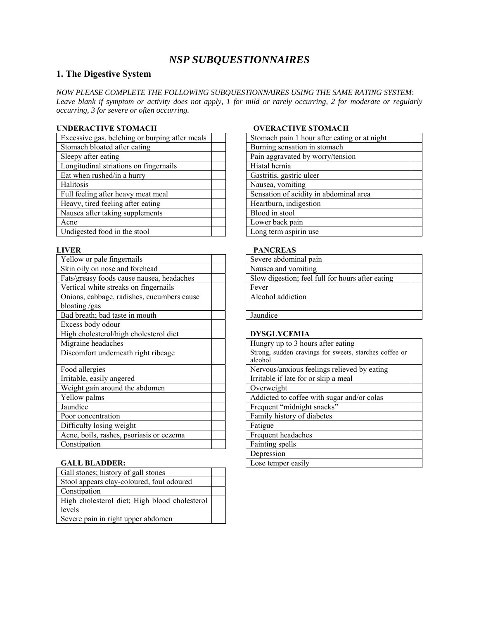# *NSP SUBQUESTIONNAIRES*

# **1. The Digestive System**

*NOW PLEASE COMPLETE THE FOLLOWING SUBQUESTIONNAIRES USING THE SAME RATING SYSTEM*: *Leave blank if symptom or activity does not apply, 1 for mild or rarely occurring, 2 for moderate or regularly occurring, 3 for severe or often occurring.* 

## **UNDERACTIVE STOMACH 
DUNDERACTIVE STOMACH**

| Excessive gas, belching or burping after meals | Stomach pain 1 hour after eating or at night |
|------------------------------------------------|----------------------------------------------|
| Stomach bloated after eating                   | Burning sensation in stomach                 |
| Sleepy after eating                            | Pain aggravated by worry/tension             |
| Longitudinal striations on fingernails         | Hiatal hernia                                |
| Eat when rushed/in a hurry                     | Gastritis, gastric ulcer                     |
| Halitosis                                      | Nausea, vomiting                             |
| Full feeling after heavy meat meal             | Sensation of acidity in abdominal area       |
| Heavy, tired feeling after eating              | Heartburn, indigestion                       |
| Nausea after taking supplements                | Blood in stool                               |
| Acne                                           | Lower back pain                              |
| Undigested food in the stool                   | Long term aspirin use                        |

| Yellow or pale fingernails                 | Severe abdominal pain                                             |
|--------------------------------------------|-------------------------------------------------------------------|
| Skin oily on nose and forehead             | Nausea and vomiting                                               |
| Fats/greasy foods cause nausea, headaches  | Slow digestion; feel full for hours after eating                  |
| Vertical white streaks on fingernails      | Fever                                                             |
| Onions, cabbage, radishes, cucumbers cause | Alcohol addiction                                                 |
| bloating /gas                              |                                                                   |
| Bad breath; bad taste in mouth             | Jaundice                                                          |
| Excess body odour                          |                                                                   |
| High cholesterol/high cholesterol diet     | <b>DYSGLYCEMIA</b>                                                |
| Migraine headaches                         | Hungry up to 3 hours after eating                                 |
| Discomfort underneath right ribcage        | Strong, sudden cravings for sweets, starches coffee or<br>alcohol |
| Food allergies                             | Nervous/anxious feelings relieved by eating                       |
| Irritable, easily angered                  | Irritable if late for or skip a meal                              |
| Weight gain around the abdomen             | Overweight                                                        |
| Yellow palms                               | Addicted to coffee with sugar and/or colas                        |
| Jaundice                                   | Frequent "midnight snacks"                                        |
| Poor concentration                         | Family history of diabetes                                        |
| Difficulty losing weight                   | Fatigue                                                           |
| Acne, boils, rashes, psoriasis or eczema   | Frequent headaches                                                |
| Constipation                               | Fainting spells                                                   |

### **GALL BLADDER:**

| Gall stones; history of gall stones           |  |
|-----------------------------------------------|--|
| Stool appears clay-coloured, foul odoured     |  |
| Constipation                                  |  |
| High cholesterol diet; High blood cholesterol |  |
| levels                                        |  |
| Severe pain in right upper abdomen            |  |

| Stomach pain 1 hour after eating or at night |  |
|----------------------------------------------|--|
| Burning sensation in stomach                 |  |
| Pain aggravated by worry/tension             |  |
| Hiatal hernia                                |  |
| Gastritis, gastric ulcer                     |  |
| Nausea, vomiting                             |  |
| Sensation of acidity in abdominal area       |  |
| Heartburn, indigestion                       |  |
| Blood in stool                               |  |
| Lower back pain                              |  |
| Long term aspirin use                        |  |

### **LIVER PANCREAS**

| Severe abdominal pain                            |
|--------------------------------------------------|
| Nausea and vomiting                              |
| Slow digestion; feel full for hours after eating |
|                                                  |
| Alcohol addiction                                |
|                                                  |
|                                                  |

### High cholesterol/high cholesterol diet **DYSGLYCEMIA**

| Hungry up to 3 hours after eating                                 |  |
|-------------------------------------------------------------------|--|
| Strong, sudden cravings for sweets, starches coffee or<br>alcohol |  |
| Nervous/anxious feelings relieved by eating                       |  |
| Irritable if late for or skip a meal                              |  |
| Overweight                                                        |  |
| Addicted to coffee with sugar and/or colas                        |  |
| Frequent "midnight snacks"                                        |  |
| Family history of diabetes                                        |  |
| Fatigue                                                           |  |
| Frequent headaches                                                |  |
| Fainting spells                                                   |  |
| Depression                                                        |  |
| Lose temper easily                                                |  |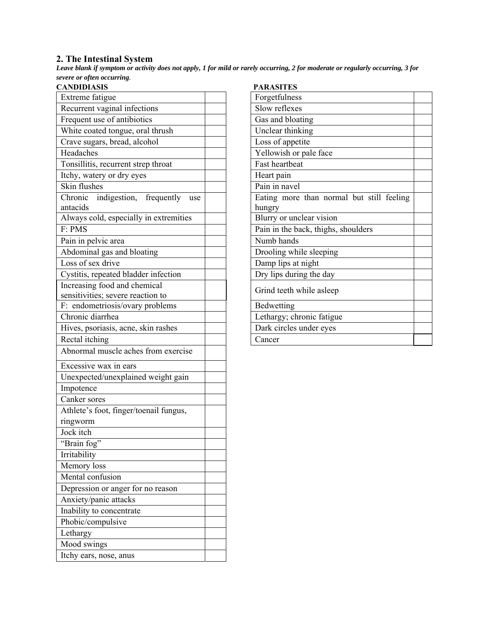## **2. The Intestinal System**

*Leave blank if symptom or activity does not apply, 1 for mild or rarely occurring, 2 for moderate or regularly occurring, 3 for severe or often occurring.*

| <b>CANDIDIASIS</b>                        | PARASITES                           |
|-------------------------------------------|-------------------------------------|
| Extreme fatigue                           | Forgetfulness                       |
| Recurrent vaginal infections              | Slow reflexes                       |
| Frequent use of antibiotics               | Gas and bloating                    |
| White coated tongue, oral thrush          | Unclear thinking                    |
| Crave sugars, bread, alcohol              | Loss of appetite                    |
| Headaches                                 | Yellowish or pale face              |
| Tonsillitis, recurrent strep throat       | Fast heartbeat                      |
| Itchy, watery or dry eyes                 | Heart pain                          |
| Skin flushes                              | Pain in navel                       |
| Chronic<br>indigestion, frequently<br>use | Eating more than normal but st      |
| antacids                                  | hungry                              |
| Always cold, especially in extremities    | Blurry or unclear vision            |
| F: PMS                                    | Pain in the back, thighs, shoulders |
| Pain in pelvic area                       | Numb hands                          |
| Abdominal gas and bloating                | Drooling while sleeping             |
| Loss of sex drive                         | Damp lips at night                  |
| Cystitis, repeated bladder infection      | Dry lips during the day             |
| Increasing food and chemical              | Grind teeth while asleep            |
| sensitivities; severe reaction to         |                                     |
| F: endometriosis/ovary problems           | Bedwetting                          |
| Chronic diarrhea                          | Lethargy; chronic fatigue           |
| Hives, psoriasis, acne, skin rashes       | Dark circles under eyes             |
| Rectal itching                            | Cancer                              |
| Abnormal muscle aches from exercise       |                                     |
| Excessive wax in ears                     |                                     |
| Unexpected/unexplained weight gain        |                                     |
| Impotence                                 |                                     |
| Canker sores                              |                                     |
| Athlete's foot, finger/toenail fungus,    |                                     |
| ringworm                                  |                                     |
| Jock itch                                 |                                     |
| "Brain fog"                               |                                     |
| Irritability                              |                                     |
| Memory loss                               |                                     |
| Mental confusion                          |                                     |
| Depression or anger for no reason         |                                     |
| Anxiety/panic attacks                     |                                     |
| Inability to concentrate                  |                                     |
| Phobic/compulsive                         |                                     |
| Lethargy                                  |                                     |
| Mood swings                               |                                     |
| Itchy ears, nose, anus                    |                                     |
|                                           |                                     |

| <b>PARASITES</b>                          |  |
|-------------------------------------------|--|
| Forgetfulness                             |  |
| Slow reflexes                             |  |
| Gas and bloating                          |  |
| Unclear thinking                          |  |
| Loss of appetite                          |  |
| Yellowish or pale face                    |  |
| Fast heartbeat                            |  |
| Heart pain                                |  |
| Pain in navel                             |  |
| Eating more than normal but still feeling |  |
| hungry                                    |  |
| Blurry or unclear vision                  |  |
| Pain in the back, thighs, shoulders       |  |
| Numb hands                                |  |
| Drooling while sleeping                   |  |
| Damp lips at night                        |  |
| Dry lips during the day                   |  |
| Grind teeth while asleep                  |  |
| Bedwetting                                |  |
| Lethargy; chronic fatigue                 |  |
| Dark circles under eyes                   |  |
| Cancer                                    |  |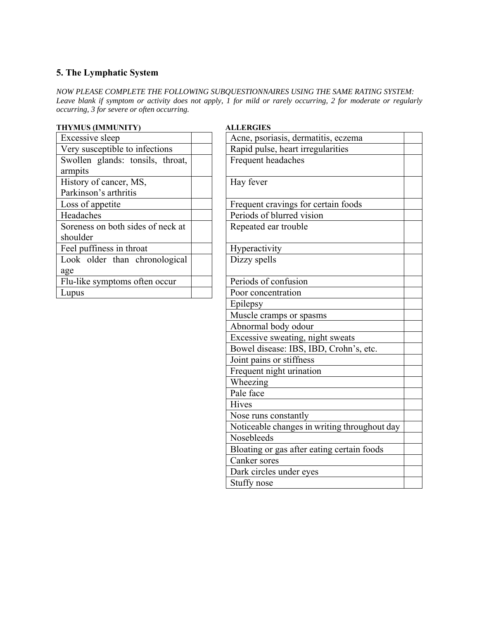# **5. The Lymphatic System**

*NOW PLEASE COMPLETE THE FOLLOWING SUBQUESTIONNAIRES USING THE SAME RATING SYSTEM: Leave blank if symptom or activity does not apply, 1 for mild or rarely occurring, 2 for moderate or regularly occurring, 3 for severe or often occurring.* 

| <i>occurring, 5 for severe or often occurring.</i> |                                     |
|----------------------------------------------------|-------------------------------------|
| THYMUS (IMMUNITY)                                  | <b>ALLERGIES</b>                    |
| Excessive sleep                                    | Acne, psoriasis, dermatitis, eczema |
| Very susceptible to infections                     | Rapid pulse, heart irregularities   |
| Swollen glands: tonsils, throat,                   | Frequent headaches                  |
| armpits                                            |                                     |
| History of cancer, MS,                             | Hay fever                           |
| Parkinson's arthritis                              |                                     |
| Loss of appetite                                   | Frequent cravings for certain foods |
| Headaches                                          | Periods of blurred vision           |
| Soreness on both sides of neck at                  | Repeated ear trouble                |
| shoulder                                           |                                     |
| Feel puffiness in throat                           | Hyperactivity                       |
| Look older than chronological                      | Dizzy spells                        |
| age                                                |                                     |
| Flu-like symptoms often occur                      | Periods of confusion                |
| Lupus                                              | Poor concentration                  |
|                                                    | Epilepsy                            |

| <b>HYMUS (IMMUNITY)</b>                         | <b>ALLERGIES</b>                             |
|-------------------------------------------------|----------------------------------------------|
| Excessive sleep                                 | Acne, psoriasis, dermatitis, eczema          |
| Very susceptible to infections                  | Rapid pulse, heart irregularities            |
| Swollen glands: tonsils, throat,<br>armpits     | Frequent headaches                           |
| History of cancer, MS,<br>Parkinson's arthritis | Hay fever                                    |
| Loss of appetite                                | Frequent cravings for certain foods          |
| Headaches                                       | Periods of blurred vision                    |
| Soreness on both sides of neck at<br>shoulder   | Repeated ear trouble                         |
| Feel puffiness in throat                        | Hyperactivity                                |
| Look older than chronological<br>age            | Dizzy spells                                 |
| Flu-like symptoms often occur                   | Periods of confusion                         |
| Lupus                                           | Poor concentration                           |
|                                                 | Epilepsy                                     |
|                                                 | Muscle cramps or spasms                      |
|                                                 | Abnormal body odour                          |
|                                                 | Excessive sweating, night sweats             |
|                                                 | Bowel disease: IBS, IBD, Crohn's, etc.       |
|                                                 | Joint pains or stiffness                     |
|                                                 | Frequent night urination                     |
|                                                 | Wheezing                                     |
|                                                 | Pale face                                    |
|                                                 | <b>Hives</b>                                 |
|                                                 | Nose runs constantly                         |
|                                                 | Noticeable changes in writing throughout day |
|                                                 | Nosebleeds                                   |
|                                                 | Bloating or gas after eating certain foods   |
|                                                 | Canker sores                                 |
|                                                 | Dark circles under eyes                      |
|                                                 | Stuffy nose                                  |
|                                                 |                                              |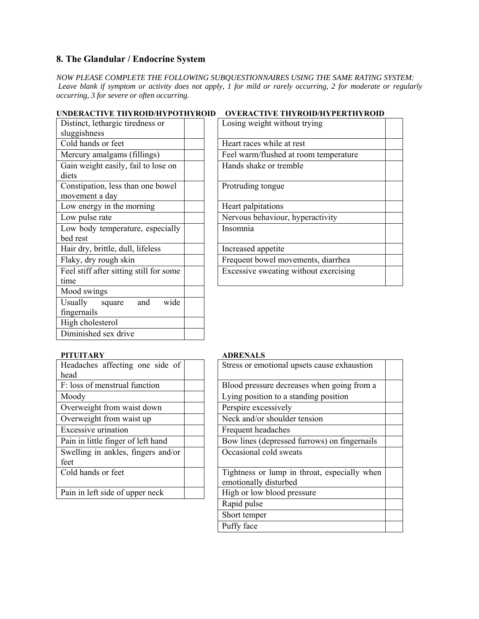# **8. The Glandular / Endocrine System**

*NOW PLEASE COMPLETE THE FOLLOWING SUBQUESTIONNAIRES USING THE SAME RATING SYSTEM: Leave blank if symptom or activity does not apply, 1 for mild or rarely occurring, 2 for moderate or regularly occurring, 3 for severe or often occurring.* 

|  | UNDERACTIVE THYROID/HYPOTHYROID OVERACTIVE THYROID/HYPERTHYROID |
|--|-----------------------------------------------------------------|
|--|-----------------------------------------------------------------|

| Distinct, lethargic tiredness or<br>sluggishness    | Losing weight without trying          |
|-----------------------------------------------------|---------------------------------------|
| Cold hands or feet                                  | Heart races while at rest             |
| Mercury amalgams (fillings)                         | Feel warm/flushed at room temperature |
| Gain weight easily, fail to lose on<br>diets        | Hands shake or tremble                |
| Constipation, less than one bowel<br>movement a day | Protruding tongue                     |
| Low energy in the morning                           | Heart palpitations                    |
| Low pulse rate                                      | Nervous behaviour, hyperactivity      |
| Low body temperature, especially<br>bed rest        | Insomnia                              |
| Hair dry, brittle, dull, lifeless                   | Increased appetite                    |
| Flaky, dry rough skin                               | Frequent bowel movements, diarrhea    |
| Feel stiff after sitting still for some<br>time     | Excessive sweating without exercising |
| Mood swings                                         |                                       |
| wide<br>Usually<br>and<br>square<br>fingernails     |                                       |
| High cholesterol                                    |                                       |
| Diminished sex drive                                |                                       |
|                                                     |                                       |

| Losing weight without trying          |  |
|---------------------------------------|--|
| Heart races while at rest             |  |
| Feel warm/flushed at room temperature |  |
| Hands shake or tremble                |  |
| Protruding tongue                     |  |
| Heart palpitations                    |  |
| Nervous behaviour, hyperactivity      |  |
| Insomnia                              |  |
| Increased appetite                    |  |
| Frequent bowel movements, diarrhea    |  |
| Excessive sweating without exercising |  |

## PITUITARY **ADRENALS**

| Headaches affecting one side of    | Stress or emotional upsets cause exh  |
|------------------------------------|---------------------------------------|
| head                               |                                       |
| F: loss of menstrual function      | Blood pressure decreases when going   |
| Moody                              | Lying position to a standing position |
| Overweight from waist down         | Perspire excessively                  |
| Overweight from waist up           | Neck and/or shoulder tension          |
| Excessive urination                | Frequent headaches                    |
| Pain in little finger of left hand | Bow lines (depressed furrows) on fir  |
| Swelling in ankles, fingers and/or | Occasional cold sweats                |
| feet                               |                                       |
| Cold hands or feet                 | Tightness or lump in throat, especia  |
|                                    | emotionally disturbed                 |
| Pain in left side of upper neck    | High or low blood pressure            |
|                                    |                                       |

| Headaches affecting one side of    | Stress or emotional upsets cause exhaustion                           |
|------------------------------------|-----------------------------------------------------------------------|
| head                               |                                                                       |
| F: loss of menstrual function      | Blood pressure decreases when going from a                            |
| Moody                              | Lying position to a standing position                                 |
| Overweight from waist down         | Perspire excessively                                                  |
| Overweight from waist up           | Neck and/or shoulder tension                                          |
| <b>Excessive urination</b>         | Frequent headaches                                                    |
| Pain in little finger of left hand | Bow lines (depressed furrows) on fingernails                          |
| Swelling in ankles, fingers and/or | Occasional cold sweats                                                |
| feet                               |                                                                       |
| Cold hands or feet                 | Tightness or lump in throat, especially when<br>emotionally disturbed |
| Pain in left side of upper neck    | High or low blood pressure                                            |
|                                    | Rapid pulse                                                           |
|                                    | Short temper                                                          |
|                                    | Puffy face                                                            |